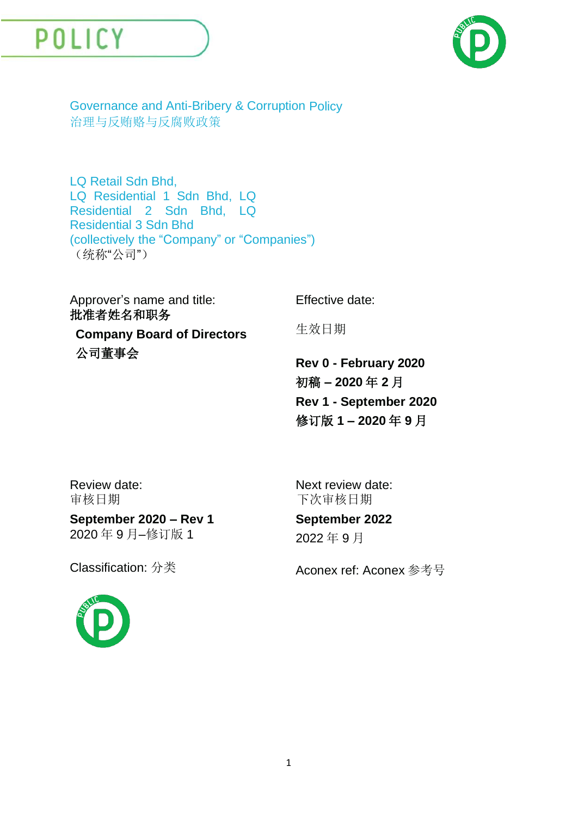



Governance and Anti-Bribery & Corruption Policy 治理与反贿赂与反腐败政策

LQ Retail Sdn Bhd, LQ Residential 1 Sdn Bhd, LQ Residential 2 Sdn Bhd, LQ Residential 3 Sdn Bhd (collectively the "Company" or "Companies") (统称"公司")

Approver's name and title: 批准者姓名和职务 **Company Board of Directors** 公司董事会 Effective date: 生效日期 **Rev 0 - February 2020** 初稿 **– 2020** 年 **2** 月

Review date: 审核日期

Next review date: 下次审核日期

#### **September 2022**

2022 年 9 月

**September 2020 – Rev 1** 2020 年 9 月–修订版 1

Classification: 分类 <br>
Aconex ref: Aconex 参考号

**Rev 1 - September 2020**

修订版 **1 – 2020** 年 **9** 月

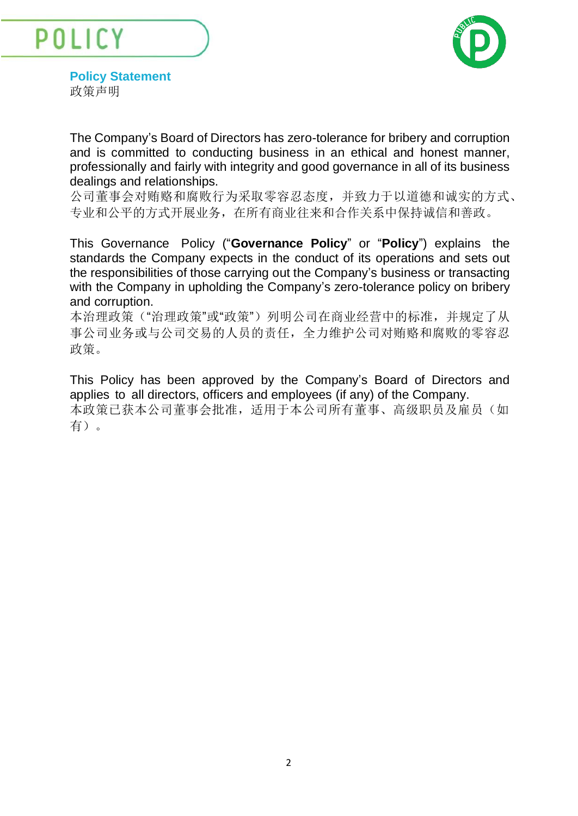POLICY



**Policy Statement** 政策声明

The Company's Board of Directors has zero-tolerance for bribery and corruption and is committed to conducting business in an ethical and honest manner, professionally and fairly with integrity and good governance in all of its business dealings and relationships.

公司董事会对贿赂和腐败行为采取零容忍态度,并致力于以道德和诚实的方式、 专业和公平的方式开展业务,在所有商业往来和合作关系中保持诚信和善政。

This Governance Policy ("**Governance Policy**" or "**Policy**") explains the standards the Company expects in the conduct of its operations and sets out the responsibilities of those carrying out the Company's business or transacting with the Company in upholding the Company's zero-tolerance policy on bribery and corruption.

本治理政策("治理政策"或"政策")列明公司在商业经营中的标准,并规定了从 事公司业务或与公司交易的人员的责任,全力维护公司对贿赂和腐败的零容忍 政策。

This Policy has been approved by the Company's Board of Directors and applies to all directors, officers and employees (if any) of the Company. 本政策已获本公司董事会批准,适用于本公司所有董事、高级职员及雇员(如 有)。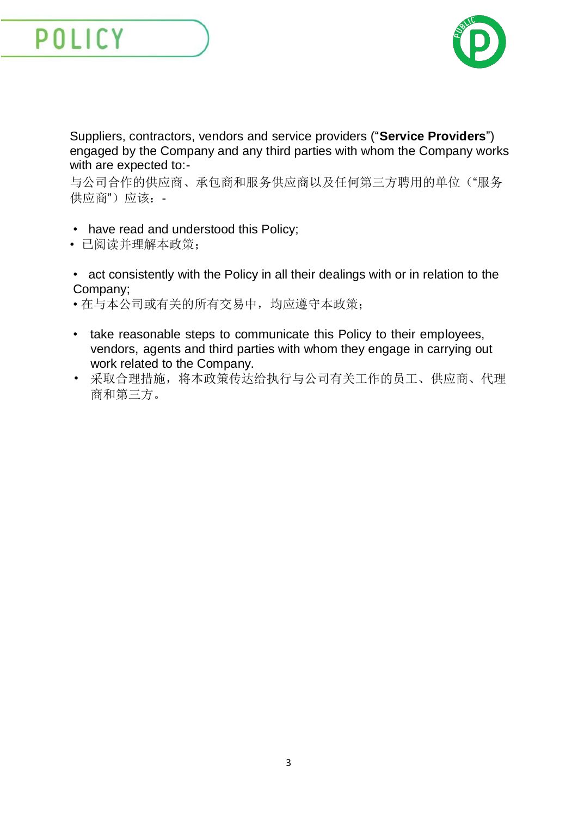

Suppliers, contractors, vendors and service providers ("**Service Providers**") engaged by the Company and any third parties with whom the Company works with are expected to:-

与公司合作的供应商、承包商和服务供应商以及任何第三方聘用的单位("服务 供应商")应该: -

- have read and understood this Policy;
- 已阅读并理解本政策;
- act consistently with the Policy in all their dealings with or in relation to the Company;
- 在与本公司或有关的所有交易中,均应遵守本政策;
- take reasonable steps to communicate this Policy to their employees, vendors, agents and third parties with whom they engage in carrying out work related to the Company.
- 采取合理措施,将本政策传达给执行与公司有关工作的员工、供应商、代理 商和第三方。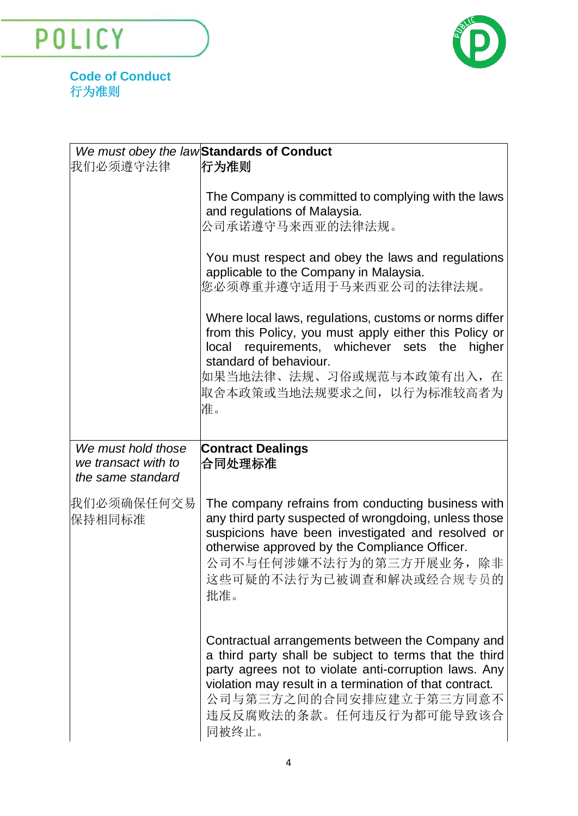POLICY



**Code of Conduct** 行为准则

| 我们必须遵守法律                                 | We must obey the lawStandards of Conduct<br>行为准则                                                                                                                                                                                                                               |
|------------------------------------------|--------------------------------------------------------------------------------------------------------------------------------------------------------------------------------------------------------------------------------------------------------------------------------|
|                                          | The Company is committed to complying with the laws<br>and regulations of Malaysia.<br>公司承诺遵守马来西亚的法律法规。                                                                                                                                                                        |
|                                          | You must respect and obey the laws and regulations<br>applicable to the Company in Malaysia.<br>您必须尊重并遵守适用于马来西亚公司的法律法规。                                                                                                                                                        |
|                                          | Where local laws, regulations, customs or norms differ<br>from this Policy, you must apply either this Policy or<br>local requirements, whichever sets the<br>higher<br>standard of behaviour.<br>如果当地法律、法规、习俗或规范与本政策有出入,在<br>取舍本政策或当地法规要求之间, 以行为标准较高者为<br>准。                  |
| We must hold those                       | <b>Contract Dealings</b>                                                                                                                                                                                                                                                       |
| we transact with to<br>the same standard | 合同处理标准                                                                                                                                                                                                                                                                         |
| 我们必须确保任何交易<br>保持相同标准                     | The company refrains from conducting business with<br>any third party suspected of wrongdoing, unless those<br>suspicions have been investigated and resolved or<br>otherwise approved by the Compliance Officer.<br>公司不与任何涉嫌不法行为的第三方开展业务,除非<br>这些可疑的不法行为已被调查和解决或经合规专员的<br>批准。 |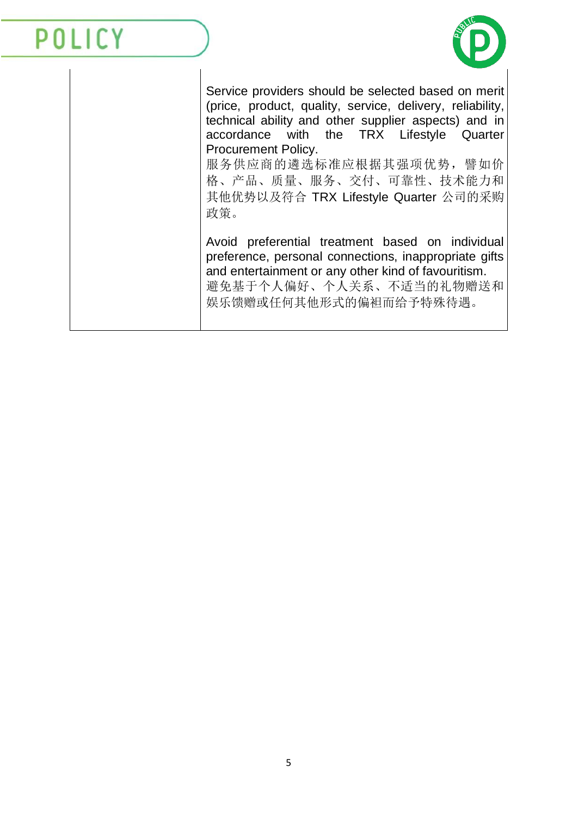

Service providers should be selected based on merit (price, product, quality, service, delivery, reliability, technical ability and other supplier aspects) and in accordance with the TRX Lifestyle Quarter Procurement Policy.

服务供应商的遴选标准应根据其强项优势,譬如价 格、产品、质量、服务、交付、可靠性、技术能力和 其他优势以及符合 TRX Lifestyle Quarter 公司的采购 政策。

Avoid preferential treatment based on individual preference, personal connections, inappropriate gifts and entertainment or any other kind of favouritism. 避免基于个人偏好、个人关系、不适当的礼物赠送和 娱乐馈赠或任何其他形式的偏袒而给予特殊待遇。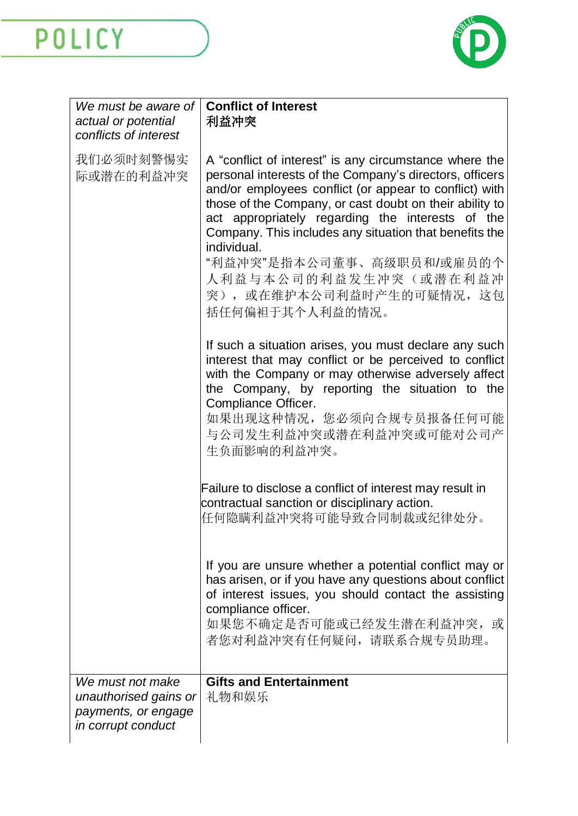

| We must be aware of<br>actual or potential<br>conflicts of interest                    | <b>Conflict of Interest</b><br>利益冲突                                                                                                                                                                                                                                                                                                                                                                                                                                       |
|----------------------------------------------------------------------------------------|---------------------------------------------------------------------------------------------------------------------------------------------------------------------------------------------------------------------------------------------------------------------------------------------------------------------------------------------------------------------------------------------------------------------------------------------------------------------------|
| 我们必须时刻警惕实<br>际或潜在的利益冲突                                                                 | A "conflict of interest" is any circumstance where the<br>personal interests of the Company's directors, officers<br>and/or employees conflict (or appear to conflict) with<br>those of the Company, or cast doubt on their ability to<br>act appropriately regarding the interests of the<br>Company. This includes any situation that benefits the<br>individual.<br>"利益冲突"是指本公司董事、高级职员和/或雇员的个<br>人利益与本公司的利益发生冲突(或潜在利益冲<br>突), 或在维护本公司利益时产生的可疑情况, 这包<br>括任何偏袒于其个人利益的情况。 |
|                                                                                        | If such a situation arises, you must declare any such<br>interest that may conflict or be perceived to conflict<br>with the Company or may otherwise adversely affect<br>the Company, by reporting the situation to the<br>Compliance Officer.<br>如果出现这种情况, 您必须向合规专员报备任何可能<br>与公司发生利益冲突或潜在利益冲突或可能对公司产<br>生负面影响的利益冲突。                                                                                                                                                      |
|                                                                                        | Failure to disclose a conflict of interest may result in<br>contractual sanction or disciplinary action.<br>任何隐瞒利益冲突将可能导致合同制裁或纪律处分。                                                                                                                                                                                                                                                                                                                                       |
|                                                                                        | If you are unsure whether a potential conflict may or<br>has arisen, or if you have any questions about conflict<br>of interest issues, you should contact the assisting<br>compliance officer.<br>如果您不确定是否可能或已经发生潜在利益冲突, 或<br>者您对利益冲突有任何疑问, 请联系合规专员助理。                                                                                                                                                                                                                   |
| We must not make<br>unauthorised gains or<br>payments, or engage<br>in corrupt conduct | <b>Gifts and Entertainment</b><br>礼物和娱乐                                                                                                                                                                                                                                                                                                                                                                                                                                   |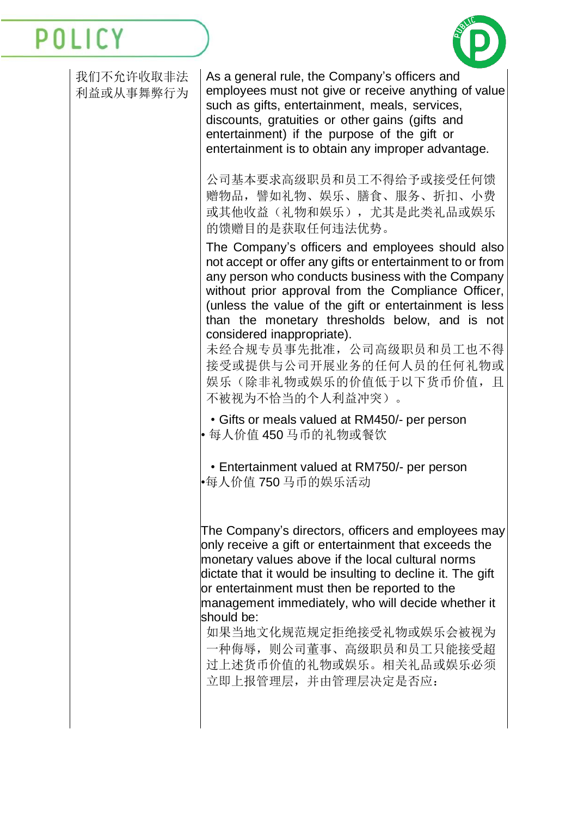

| 我们不允许收取非法<br>利益或从事舞弊行为 | As a general rule, the Company's officers and<br>employees must not give or receive anything of value<br>such as gifts, entertainment, meals, services,<br>discounts, gratuities or other gains (gifts and<br>entertainment) if the purpose of the gift or<br>entertainment is to obtain any improper advantage.                                                                                                                                                            |
|------------------------|-----------------------------------------------------------------------------------------------------------------------------------------------------------------------------------------------------------------------------------------------------------------------------------------------------------------------------------------------------------------------------------------------------------------------------------------------------------------------------|
|                        | 公司基本要求高级职员和员工不得给予或接受任何馈<br>赠物品, 譬如礼物、娱乐、膳食、服务、折扣、小费<br>或其他收益(礼物和娱乐), 尤其是此类礼品或娱乐<br>的馈赠目的是获取任何违法优势。                                                                                                                                                                                                                                                                                                                                                                          |
|                        | The Company's officers and employees should also<br>not accept or offer any gifts or entertainment to or from<br>any person who conducts business with the Company<br>without prior approval from the Compliance Officer,<br>(unless the value of the gift or entertainment is less<br>than the monetary thresholds below, and is not<br>considered inappropriate).<br>未经合规专员事先批准, 公司高级职员和员工也不得<br>接受或提供与公司开展业务的任何人员的任何礼物或<br>娱乐 (除非礼物或娱乐的价值低于以下货币价值, 且<br>不被视为不恰当的个人利益冲突)。 |
|                        | • Gifts or meals valued at RM450/- per person<br>• 每人价值 450 马币的礼物或餐饮                                                                                                                                                                                                                                                                                                                                                                                                        |
|                        | • Entertainment valued at RM750/- per person<br>•每人价值 750 马币的娱乐活动                                                                                                                                                                                                                                                                                                                                                                                                           |
|                        | The Company's directors, officers and employees may<br>only receive a gift or entertainment that exceeds the<br>monetary values above if the local cultural norms<br>dictate that it would be insulting to decline it. The gift<br>or entertainment must then be reported to the<br>management immediately, who will decide whether it<br>should be:<br>如果当地文化规范规定拒绝接受礼物或娱乐会被视为<br>一种侮辱, 则公司董事、高级职员和员工只能接受超<br>过上述货币价值的礼物或娱乐。相关礼品或娱乐必须<br>立即上报管理层,并由管理层决定是否应:               |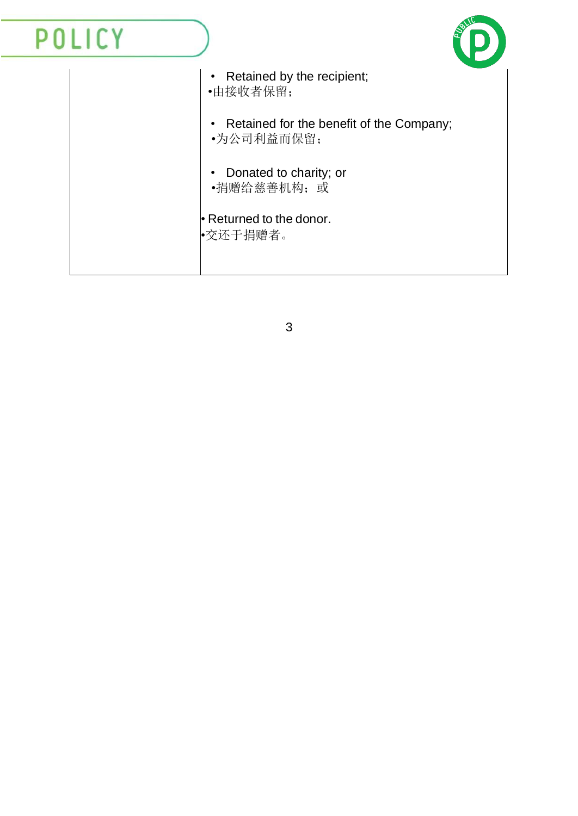#### POLICY • Retained by the recipient; •由接收者保留; • Retained for the benefit of the Company; •为公司利益而保留; • Donated to charity; or •捐赠给慈善机构;或 • Returned to the donor. •交还于捐赠者。

3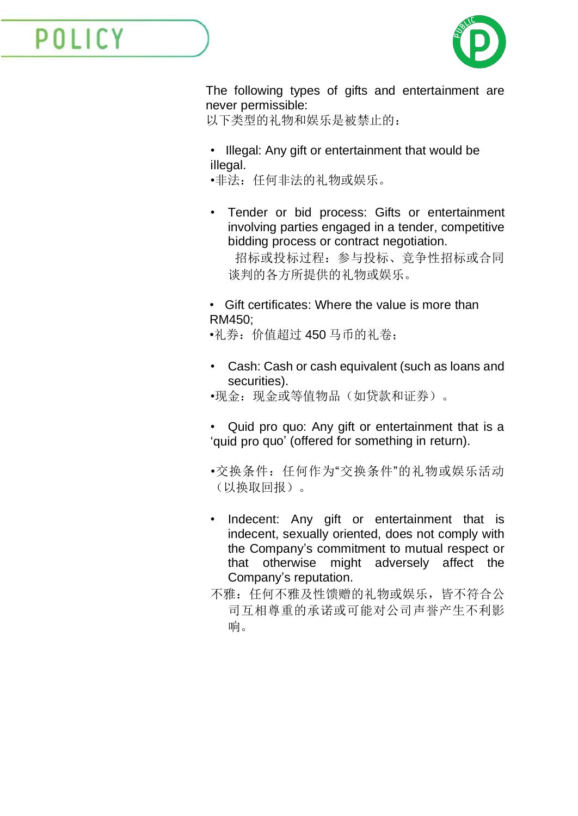

The following types of gifts and entertainment are never permissible:

以下类型的礼物和娱乐是被禁止的:

- Illegal: Any gift or entertainment that would be illegal.
- •非法:任何非法的礼物或娱乐。
- Tender or bid process: Gifts or entertainment involving parties engaged in a tender, competitive bidding process or contract negotiation.

 招标或投标过程:参与投标、竞争性招标或合同 谈判的各方所提供的礼物或娱乐。

• Gift certificates: Where the value is more than RM450;

•礼券:价值超过 450 马币的礼卷;

- Cash: Cash or cash equivalent (such as loans and securities).
- •现金:现金或等值物品(如贷款和证券)。
- Quid pro quo: Any gift or entertainment that is a 'quid pro quo' (offered for something in return).
- •交换条件:任何作为"交换条件"的礼物或娱乐活动 (以换取回报)。
- Indecent: Any gift or entertainment that is indecent, sexually oriented, does not comply with the Company's commitment to mutual respect or that otherwise might adversely affect the Company's reputation.
- 不雅: 任何不雅及性馈赠的礼物或娱乐, 皆不符合公 司互相尊重的承诺或可能对公司声誉产生不利影 响。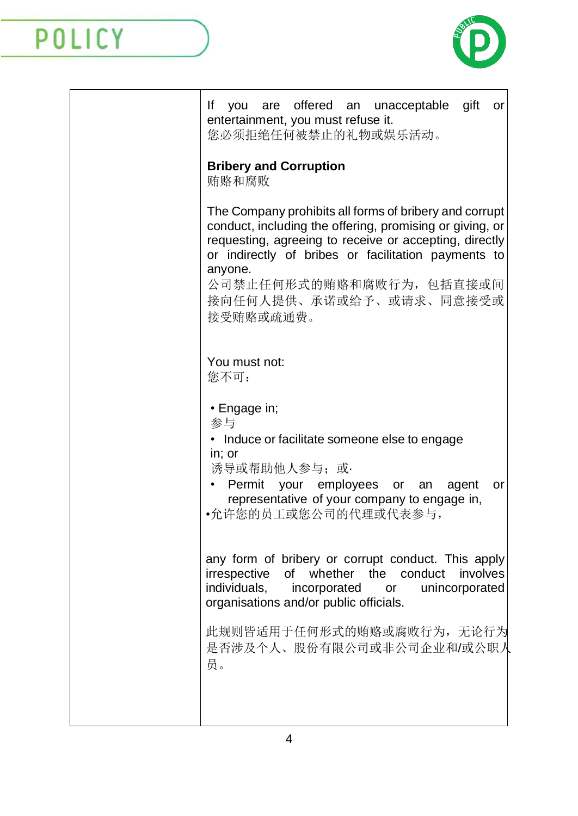

| you are offered an unacceptable gift<br>lf<br>or<br>entertainment, you must refuse it.<br>您必须拒绝任何被禁止的礼物或娱乐活动。                                                                                                                                                                                                     |
|-------------------------------------------------------------------------------------------------------------------------------------------------------------------------------------------------------------------------------------------------------------------------------------------------------------------|
| <b>Bribery and Corruption</b><br>贿赂和腐败                                                                                                                                                                                                                                                                            |
| The Company prohibits all forms of bribery and corrupt<br>conduct, including the offering, promising or giving, or<br>requesting, agreeing to receive or accepting, directly<br>or indirectly of bribes or facilitation payments to<br>anyone.<br>公司禁止任何形式的贿赂和腐败行为,包括直接或间<br>接向任何人提供、承诺或给予、或请求、同意接受或<br>接受贿赂或疏通费。 |
| You must not:<br>您不可:                                                                                                                                                                                                                                                                                             |
| • Engage in;<br>参与<br>• Induce or facilitate someone else to engage<br>in; or<br>诱导或帮助他人参与; 或·<br>Permit<br>your employees or an<br>agent<br>or<br>representative of your company to engage in,<br>•允许您的员工或您公司的代理或代表参与,                                                                                           |
| any form of bribery or corrupt conduct. This apply<br>irrespective of whether the conduct involves<br>individuals, incorporated or unincorporated<br>organisations and/or public officials.                                                                                                                       |
| 此规则皆适用于任何形式的贿赂或腐败行为, 无论行为<br>是否涉及个人、股份有限公司或非公司企业和/或公职人<br>员。                                                                                                                                                                                                                                                      |
|                                                                                                                                                                                                                                                                                                                   |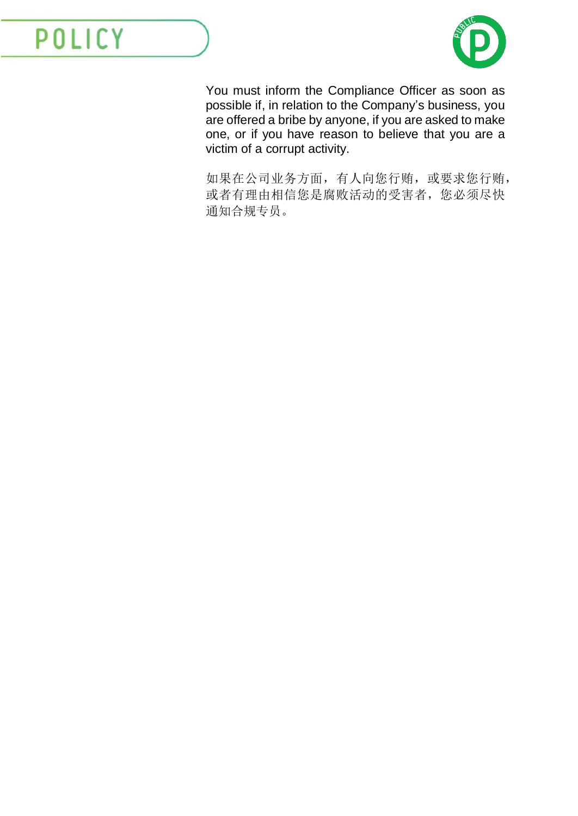

You must inform the Compliance Officer as soon as possible if, in relation to the Company's business, you are offered a bribe by anyone, if you are asked to make one, or if you have reason to believe that you are a victim of a corrupt activity.

如果在公司业务方面,有人向您行贿,或要求您行贿, 或者有理由相信您是腐败活动的受害者,您必须尽快 通知合规专员。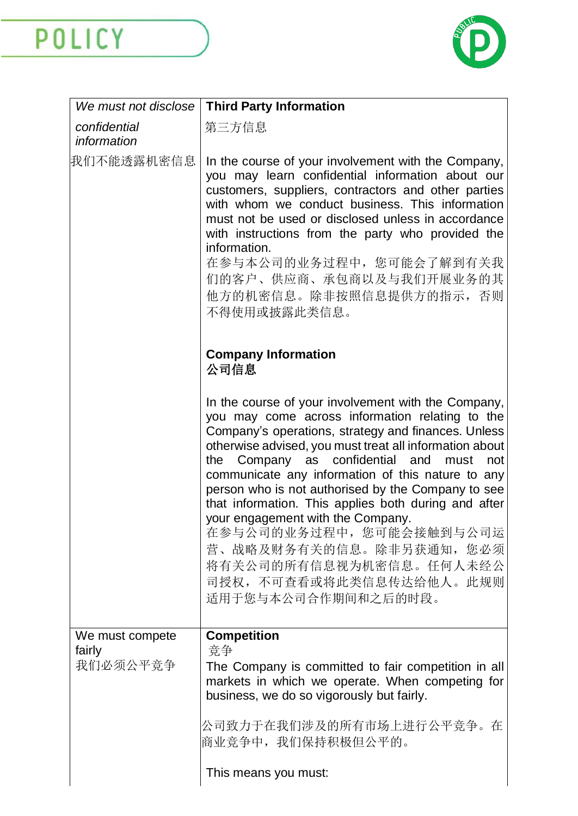

| We must not disclose        | <b>Third Party Information</b>                                                                                                                                                                                                                                                                                                                                                                                                                                                                                                                                                                                          |
|-----------------------------|-------------------------------------------------------------------------------------------------------------------------------------------------------------------------------------------------------------------------------------------------------------------------------------------------------------------------------------------------------------------------------------------------------------------------------------------------------------------------------------------------------------------------------------------------------------------------------------------------------------------------|
| confidential<br>information | 第三方信息                                                                                                                                                                                                                                                                                                                                                                                                                                                                                                                                                                                                                   |
| 我们不能透露机密信息                  | In the course of your involvement with the Company,<br>you may learn confidential information about our<br>customers, suppliers, contractors and other parties<br>with whom we conduct business. This information<br>must not be used or disclosed unless in accordance<br>with instructions from the party who provided the<br>information.<br>在参与本公司的业务过程中, 您可能会了解到有关我<br>们的客户、供应商、承包商以及与我们开展业务的其<br>他方的机密信息。除非按照信息提供方的指示, 否则<br>不得使用或披露此类信息。                                                                                                                                                                         |
|                             | <b>Company Information</b><br>公司信息                                                                                                                                                                                                                                                                                                                                                                                                                                                                                                                                                                                      |
|                             | In the course of your involvement with the Company,<br>you may come across information relating to the<br>Company's operations, strategy and finances. Unless<br>otherwise advised, you must treat all information about<br>the Company as confidential and<br>must<br>not<br>communicate any information of this nature to any<br>person who is not authorised by the Company to see<br>that information. This applies both during and after<br>your engagement with the Company.<br>在参与公司的业务过程中,您可能会接触到与公司运<br>营、战略及财务有关的信息。除非另获通知, 您必须<br>将有关公司的所有信息视为机密信息。任何人未经公<br>司授权, 不可查看或将此类信息传达给他人。此规则<br>适用于您与本公司合作期间和之后的时段。 |
| We must compete<br>fairly   | <b>Competition</b><br>竞争                                                                                                                                                                                                                                                                                                                                                                                                                                                                                                                                                                                                |
| 我们必须公平竞争                    | The Company is committed to fair competition in all<br>markets in which we operate. When competing for<br>business, we do so vigorously but fairly.                                                                                                                                                                                                                                                                                                                                                                                                                                                                     |
|                             | 公司致力于在我们涉及的所有市场上进行公平竞争。在<br>商业竞争中, 我们保持积极但公平的。                                                                                                                                                                                                                                                                                                                                                                                                                                                                                                                                                                          |
|                             | This means you must:                                                                                                                                                                                                                                                                                                                                                                                                                                                                                                                                                                                                    |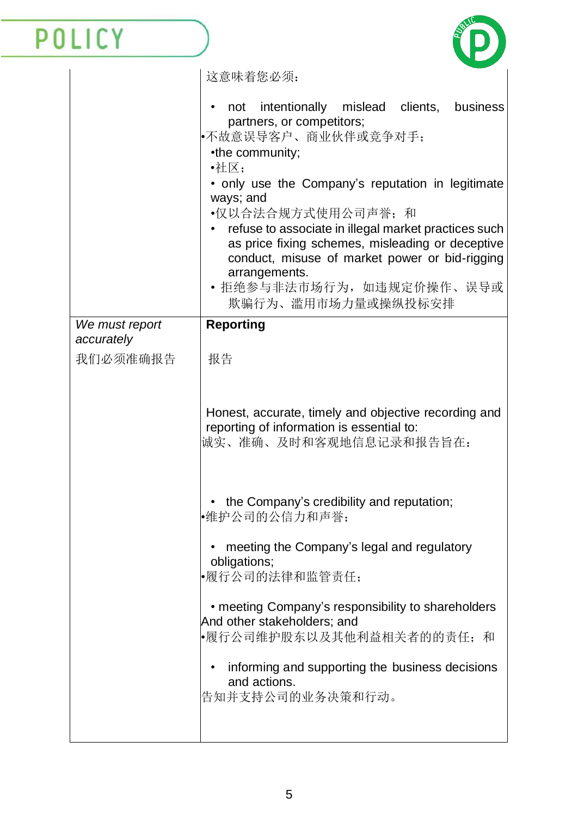P

|                              | 这意味着您必须:                                                                                                                                                                                                       |
|------------------------------|----------------------------------------------------------------------------------------------------------------------------------------------------------------------------------------------------------------|
|                              | not intentionally mislead clients,<br>business<br>partners, or competitors;<br>•不故意误导客户、商业伙伴或竞争对手;<br>•the community;<br>•社区;                                                                                  |
|                              | • only use the Company's reputation in legitimate                                                                                                                                                              |
|                              | ways; and<br>•仅以合法合规方式使用公司声誉; 和<br>refuse to associate in illegal market practices such<br>as price fixing schemes, misleading or deceptive<br>conduct, misuse of market power or bid-rigging<br>arrangements. |
|                              | • 拒绝参与非法市场行为,如违规定价操作、误导或<br>欺骗行为、滥用市场力量或操纵投标安排                                                                                                                                                                 |
| We must report<br>accurately | <b>Reporting</b>                                                                                                                                                                                               |
| 我们必须准确报告                     | 报告                                                                                                                                                                                                             |
|                              | Honest, accurate, timely and objective recording and<br>reporting of information is essential to:<br>诚实、准确、及时和客观地信息记录和报告旨在:                                                                                    |
|                              | • the Company's credibility and reputation;<br>•维护公司的公信力和声誉;                                                                                                                                                   |
|                              | meeting the Company's legal and regulatory<br>obligations;<br>•履行公司的法律和监管责任;                                                                                                                                   |
|                              | • meeting Company's responsibility to shareholders<br>And other stakeholders; and<br>•履行公司维护股东以及其他利益相关者的的责任; 和                                                                                                 |
|                              | informing and supporting the business decisions                                                                                                                                                                |
|                              | and actions.<br>告知并支持公司的业务决策和行动。                                                                                                                                                                               |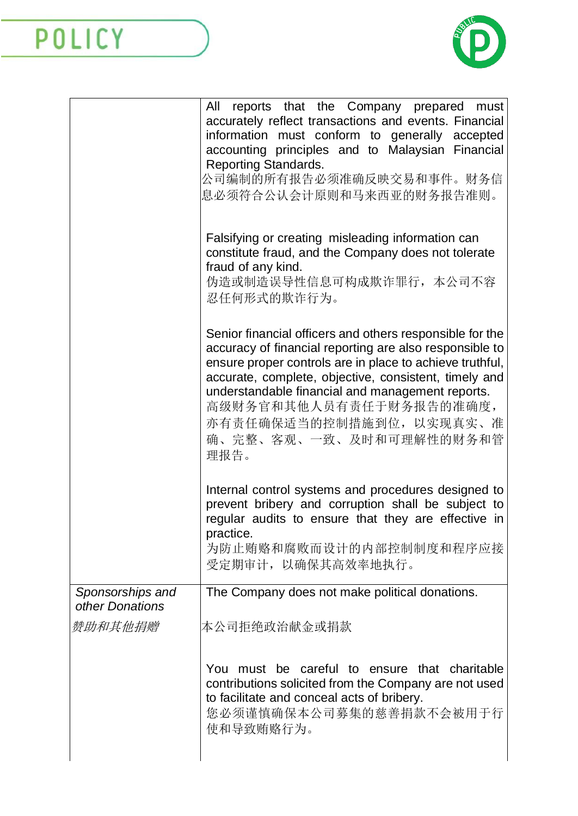

|                                     | reports that the Company prepared<br>All<br>must                                                                                                                                                                                                                                                                                                                                       |
|-------------------------------------|----------------------------------------------------------------------------------------------------------------------------------------------------------------------------------------------------------------------------------------------------------------------------------------------------------------------------------------------------------------------------------------|
|                                     | accurately reflect transactions and events. Financial<br>information must conform to generally accepted<br>accounting principles and to Malaysian Financial<br><b>Reporting Standards.</b><br>公司编制的所有报告必须准确反映交易和事件。财务信<br>息必须符合公认会计原则和马来西亚的财务报告准则。                                                                                                                                     |
|                                     | Falsifying or creating misleading information can<br>constitute fraud, and the Company does not tolerate<br>fraud of any kind.<br>伪造或制造误导性信息可构成欺诈罪行, 本公司不容<br>忍任何形式的欺诈行为。                                                                                                                                                                                                              |
|                                     | Senior financial officers and others responsible for the<br>accuracy of financial reporting are also responsible to<br>ensure proper controls are in place to achieve truthful,<br>accurate, complete, objective, consistent, timely and<br>understandable financial and management reports.<br>高级财务官和其他人员有责任于财务报告的准确度,<br>亦有责任确保适当的控制措施到位, 以实现真实、准<br>确、完整、客观、一致、及时和可理解性的财务和管<br>理报告。 |
|                                     | Internal control systems and procedures designed to<br>prevent bribery and corruption shall be subject to<br>regular audits to ensure that they are effective in<br>practice.<br>为防止贿赂和腐败而设计的内部控制制度和程序应接<br>受定期审计, 以确保其高效率地执行。                                                                                                                                                         |
| Sponsorships and<br>other Donations | The Company does not make political donations.                                                                                                                                                                                                                                                                                                                                         |
| 赞助和其他捐赠                             | 本公司拒绝政治献金或捐款                                                                                                                                                                                                                                                                                                                                                                           |
|                                     | You must be careful to ensure that charitable<br>contributions solicited from the Company are not used<br>to facilitate and conceal acts of bribery.<br>您必须谨慎确保本公司募集的慈善捐款不会被用于行<br>使和导致贿赂行为。                                                                                                                                                                                           |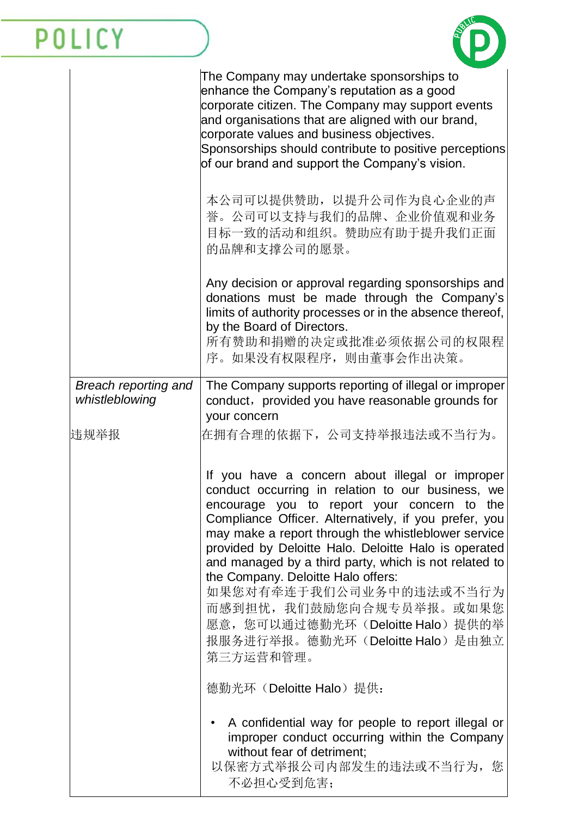

|                                        | The Company may undertake sponsorships to<br>enhance the Company's reputation as a good<br>corporate citizen. The Company may support events<br>and organisations that are aligned with our brand,<br>corporate values and business objectives.<br>Sponsorships should contribute to positive perceptions<br>of our brand and support the Company's vision.                                                                                                                                                                                                          |
|----------------------------------------|----------------------------------------------------------------------------------------------------------------------------------------------------------------------------------------------------------------------------------------------------------------------------------------------------------------------------------------------------------------------------------------------------------------------------------------------------------------------------------------------------------------------------------------------------------------------|
|                                        | 本公司可以提供赞助, 以提升公司作为良心企业的声<br>誉。公司可以支持与我们的品牌、企业价值观和业务<br>目标一致的活动和组织。赞助应有助于提升我们正面<br>的品牌和支撑公司的愿景。                                                                                                                                                                                                                                                                                                                                                                                                                                                                       |
|                                        | Any decision or approval regarding sponsorships and<br>donations must be made through the Company's<br>limits of authority processes or in the absence thereof,<br>by the Board of Directors.<br>所有赞助和捐赠的决定或批准必须依据公司的权限程<br>序。如果没有权限程序, 则由董事会作出决策。                                                                                                                                                                                                                                                                                                                   |
| Breach reporting and<br>whistleblowing | The Company supports reporting of illegal or improper<br>conduct, provided you have reasonable grounds for<br>your concern                                                                                                                                                                                                                                                                                                                                                                                                                                           |
| 违规举报                                   | 在拥有合理的依据下,公司支持举报违法或不当行为。                                                                                                                                                                                                                                                                                                                                                                                                                                                                                                                                             |
|                                        | If you have a concern about illegal or improper<br>conduct occurring in relation to our business, we<br>encourage you to report your concern to the<br>Compliance Officer. Alternatively, if you prefer, you<br>may make a report through the whistleblower service<br>provided by Deloitte Halo. Deloitte Halo is operated<br>and managed by a third party, which is not related to<br>the Company. Deloitte Halo offers:<br>如果您对有牵连于我们公司业务中的违法或不当行为<br>而感到担忧,我们鼓励您向合规专员举报。或如果您<br>愿意, 您可以通过德勤光环(Deloitte Halo)提供的举<br>报服务进行举报。德勤光环(Deloitte Halo)是由独立<br>第三方运营和管理。 |
|                                        | 德勤光环 (Deloitte Halo) 提供:                                                                                                                                                                                                                                                                                                                                                                                                                                                                                                                                             |
|                                        | A confidential way for people to report illegal or<br>improper conduct occurring within the Company<br>without fear of detriment;<br>以保密方式举报公司内部发生的违法或不当行为, 您<br>不必担心受到危害;                                                                                                                                                                                                                                                                                                                                                                                           |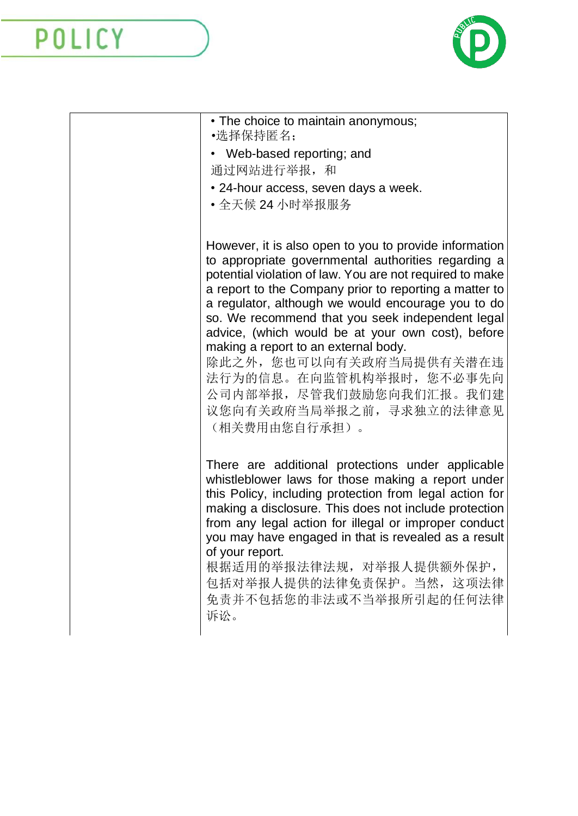

| • The choice to maintain anonymous;<br>•选择保持匿名;                                                                                                                                                                                                                                                                                                                                                                                                                                                                                                                             |
|-----------------------------------------------------------------------------------------------------------------------------------------------------------------------------------------------------------------------------------------------------------------------------------------------------------------------------------------------------------------------------------------------------------------------------------------------------------------------------------------------------------------------------------------------------------------------------|
| • Web-based reporting; and<br>通过网站进行举报,和                                                                                                                                                                                                                                                                                                                                                                                                                                                                                                                                    |
| • 24-hour access, seven days a week.<br>• 全天候 24 小时举报服务                                                                                                                                                                                                                                                                                                                                                                                                                                                                                                                     |
| However, it is also open to you to provide information<br>to appropriate governmental authorities regarding a<br>potential violation of law. You are not required to make<br>a report to the Company prior to reporting a matter to<br>a regulator, although we would encourage you to do<br>so. We recommend that you seek independent legal<br>advice, (which would be at your own cost), before<br>making a report to an external body.<br>除此之外, 您也可以向有关政府当局提供有关潜在违<br>法行为的信息。在向监管机构举报时, 您不必事先向<br>公司内部举报, 尽管我们鼓励您向我们汇报。我们建<br>议您向有关政府当局举报之前, 寻求独立的法律意见<br>(相关费用由您自行承担)。 |
| There are additional protections under applicable<br>whistleblower laws for those making a report under<br>this Policy, including protection from legal action for<br>making a disclosure. This does not include protection<br>from any legal action for illegal or improper conduct<br>you may have engaged in that is revealed as a result<br>of your report.<br>根据适用的举报法律法规, 对举报人提供额外保护,<br>包括对举报人提供的法律免责保护。当然,这项法律<br>免责并不包括您的非法或不当举报所引起的任何法律<br>诉讼。                                                                                                                    |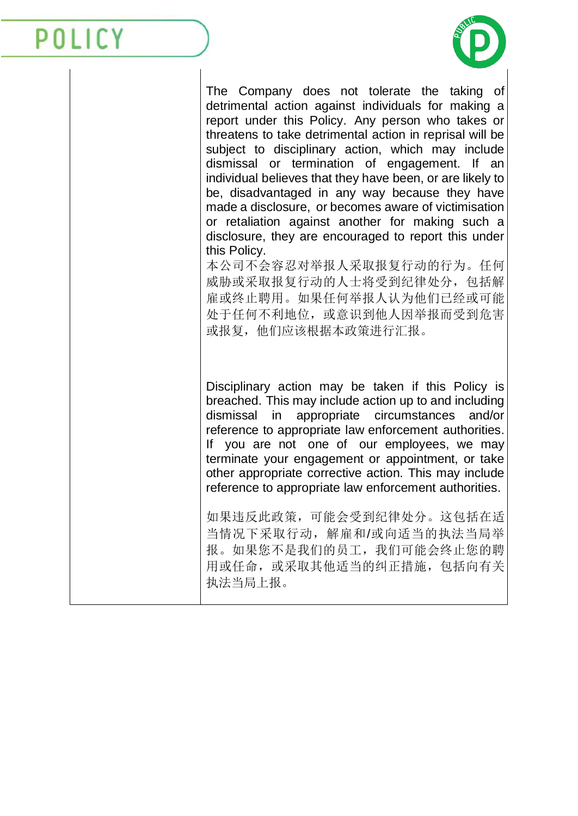

The Company does not tolerate the taking of detrimental action against individuals for making a report under this Policy. Any person who takes or threatens to take detrimental action in reprisal will be subject to disciplinary action, which may include dismissal or termination of engagement. If an individual believes that they have been, or are likely to be, disadvantaged in any way because they have made a disclosure, or becomes aware of victimisation or retaliation against another for making such a disclosure, they are encouraged to report this under this Policy.

本公司不会容忍对举报人采取报复行动的行为。任何 威胁或采取报复行动的人士将受到纪律处分,包括解 雇或终止聘用。如果任何举报人认为他们已经或可能 处于任何不利地位,或意识到他人因举报而受到危害 或报复,他们应该根据本政策进行汇报。

Disciplinary action may be taken if this Policy is breached. This may include action up to and including dismissal in appropriate circumstances and/or reference to appropriate law enforcement authorities. If you are not one of our employees, we may terminate your engagement or appointment, or take other appropriate corrective action. This may include reference to appropriate law enforcement authorities.

如果违反此政策,可能会受到纪律处分。这包括在适 当情况下采取行动,解雇和/或向适当的执法当局举 报。如果您不是我们的员工,我们可能会终止您的聘 用或任命,或采取其他适当的纠正措施,包括向有关 执法当局上报。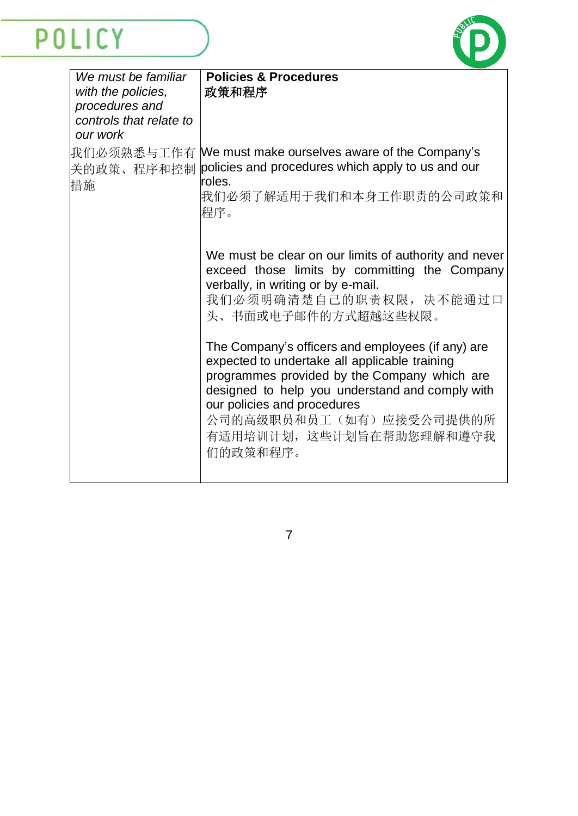

| We must be familiar<br>with the policies, | <b>Policies &amp; Procedures</b><br>政策和程序                                                                                                                                                                                                                                                               |
|-------------------------------------------|---------------------------------------------------------------------------------------------------------------------------------------------------------------------------------------------------------------------------------------------------------------------------------------------------------|
| procedures and<br>controls that relate to |                                                                                                                                                                                                                                                                                                         |
| our work                                  |                                                                                                                                                                                                                                                                                                         |
| 关的政策、程序和控制<br>措施                          | 我们必须熟悉与工作有 We must make ourselves aware of the Company's<br>policies and procedures which apply to us and our<br>roles.                                                                                                                                                                                 |
|                                           | 我们必须了解适用于我们和本身工作职责的公司政策和<br>程序。                                                                                                                                                                                                                                                                         |
|                                           | We must be clear on our limits of authority and never<br>exceed those limits by committing the Company<br>verbally, in writing or by e-mail.<br>我们必须明确清楚自己的职责权限,决不能通过口<br>头、书面或电子邮件的方式超越这些权限。                                                                                                           |
|                                           | The Company's officers and employees (if any) are<br>expected to undertake all applicable training<br>programmes provided by the Company which are<br>designed to help you understand and comply with<br>our policies and procedures<br>公司的高级职员和员工(如有)应接受公司提供的所<br>有适用培训计划, 这些计划旨在帮助您理解和遵守我<br>们的政策和程序。 |
|                                           |                                                                                                                                                                                                                                                                                                         |

7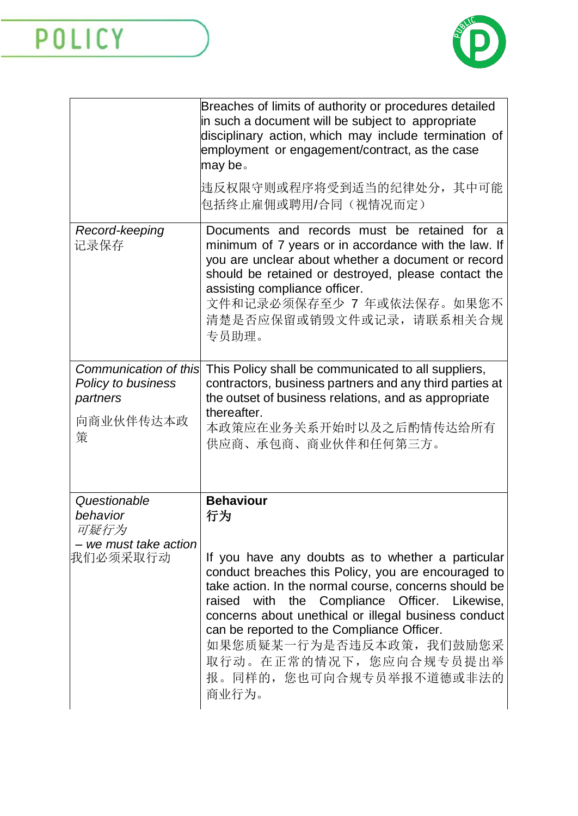

|                                                                           | Breaches of limits of authority or procedures detailed<br>in such a document will be subject to appropriate<br>disciplinary action, which may include termination of<br>employment or engagement/contract, as the case<br>may be.<br>违反权限守则或程序将受到适当的纪律处分, 其中可能<br>包括终止雇佣或聘用/合同(视情况而定)                                                                                                                                |
|---------------------------------------------------------------------------|----------------------------------------------------------------------------------------------------------------------------------------------------------------------------------------------------------------------------------------------------------------------------------------------------------------------------------------------------------------------------------------------------------------------|
| Record-keeping<br>记录保存                                                    | Documents and records must be retained for a<br>minimum of 7 years or in accordance with the law. If<br>you are unclear about whether a document or record<br>should be retained or destroyed, please contact the<br>assisting compliance officer.<br>文件和记录必须保存至少 7 年或依法保存。如果您不<br>清楚是否应保留或销毁文件或记录, 请联系相关合规<br>专员助理。                                                                                                 |
| Communication of this<br>Policy to business<br>partners<br>向商业伙伴传达本政<br>策 | This Policy shall be communicated to all suppliers,<br>contractors, business partners and any third parties at<br>the outset of business relations, and as appropriate<br>thereafter.<br>本政策应在业务关系开始时以及之后酌情传达给所有<br>供应商、承包商、商业伙伴和任何第三方。                                                                                                                                                                              |
| Questionable<br>behavior<br>可疑行为                                          | <b>Behaviour</b><br>行为                                                                                                                                                                                                                                                                                                                                                                                               |
| - we must take action<br>我们必须采取行动                                         | If you have any doubts as to whether a particular<br>conduct breaches this Policy, you are encouraged to<br>take action. In the normal course, concerns should be<br>raised with the Compliance Officer. Likewise,<br>concerns about unethical or illegal business conduct<br>can be reported to the Compliance Officer.<br>如果您质疑某一行为是否违反本政策, 我们鼓励您采<br>取行动。在正常的情况下, 您应向合规专员提出举<br>报。同样的, 您也可向合规专员举报不道德或非法的<br>商业行为。 |